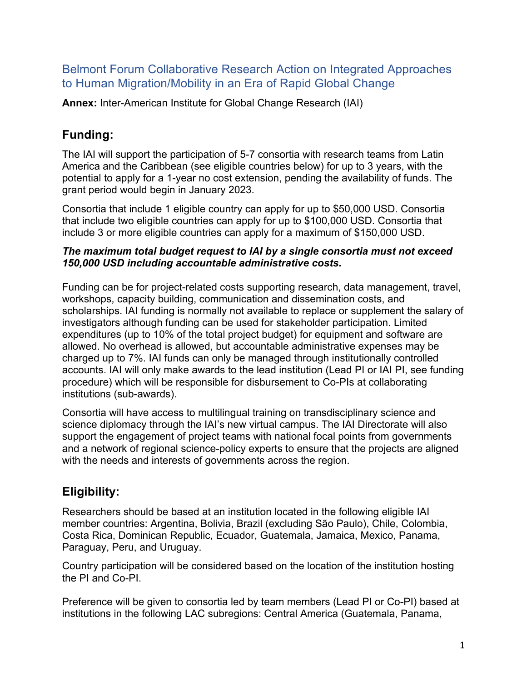#### Belmont Forum Collaborative Research Action on Integrated Approaches to Human Migration/Mobility in an Era of Rapid Global Change

**Annex:** Inter-American Institute for Global Change Research (IAI)

# **Funding:**

The IAI will support the participation of 5-7 consortia with research teams from Latin America and the Caribbean (see eligible countries below) for up to 3 years, with the potential to apply for a 1-year no cost extension, pending the availability of funds. The grant period would begin in January 2023.

Consortia that include 1 eligible country can apply for up to \$50,000 USD. Consortia that include two eligible countries can apply for up to \$100,000 USD. Consortia that include 3 or more eligible countries can apply for a maximum of \$150,000 USD.

#### *The maximum total budget request to IAI by a single consortia must not exceed 150,000 USD including accountable administrative costs.*

Funding can be for project-related costs supporting research, data management, travel, workshops, capacity building, communication and dissemination costs, and scholarships. IAI funding is normally not available to replace or supplement the salary of investigators although funding can be used for stakeholder participation. Limited expenditures (up to 10% of the total project budget) for equipment and software are allowed. No overhead is allowed, but accountable administrative expenses may be charged up to 7%. IAI funds can only be managed through institutionally controlled accounts. IAI will only make awards to the lead institution (Lead PI or IAI PI, see funding procedure) which will be responsible for disbursement to Co-PIs at collaborating institutions (sub-awards).

Consortia will have access to multilingual training on transdisciplinary science and science diplomacy through the IAI's new virtual campus. The IAI Directorate will also support the engagement of project teams with national focal points from governments and a network of regional science-policy experts to ensure that the projects are aligned with the needs and interests of governments across the region.

# **Eligibility:**

Researchers should be based at an institution located in the following eligible IAI member countries: Argentina, Bolivia, Brazil (excluding São Paulo), Chile, Colombia, Costa Rica, Dominican Republic, Ecuador, Guatemala, Jamaica, Mexico, Panama, Paraguay, Peru, and Uruguay.

Country participation will be considered based on the location of the institution hosting the PI and Co-PI.

Preference will be given to consortia led by team members (Lead PI or Co-PI) based at institutions in the following LAC subregions: Central America (Guatemala, Panama,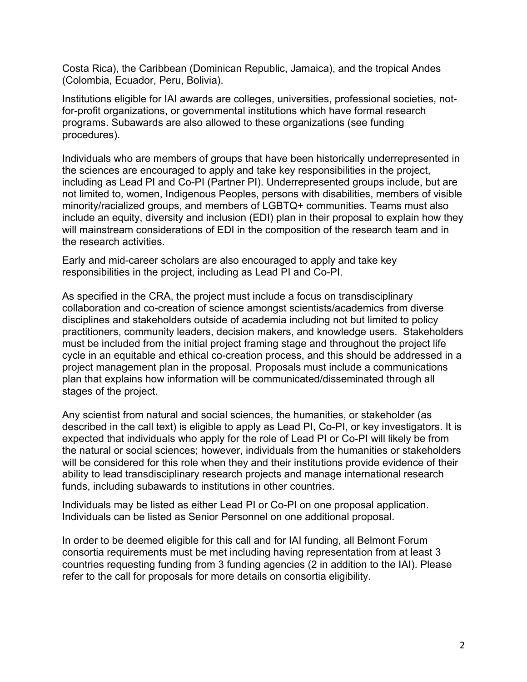Costa Rica), the Caribbean (Dominican Republic, Jamaica), and the tropical Andes (Colombia, Ecuador, Peru, Bolivia).

Institutions eligible for IAI awards are colleges, universities, professional societies, notfor-profit organizations, or governmental institutions which have formal research programs. Subawards are also allowed to these organizations (see funding procedures).

Individuals who are members of groups that have been historically underrepresented in the sciences are encouraged to apply and take key responsibilities in the project, including as Lead PI and Co-PI (Partner PI). Underrepresented groups include, but are not limited to, women, Indigenous Peoples, persons with disabilities, members of visible minority/racialized groups, and members of LGBTQ+ communities. Teams must also include an equity, diversity and inclusion (EDI) plan in their proposal to explain how they will mainstream considerations of EDI in the composition of the research team and in the research activities.

Early and mid-career scholars are also encouraged to apply and take key responsibilities in the project, including as Lead PI and Co-PI.

As specified in the CRA, the project must include a focus on transdisciplinary collaboration and co-creation of science amongst scientists/academics from diverse disciplines and stakeholders outside of academia including not but limited to policy practitioners, community leaders, decision makers, and knowledge users. Stakeholders must be included from the initial project framing stage and throughout the project life cycle in an equitable and ethical co-creation process, and this should be addressed in a project management plan in the proposal. Proposals must include a communications plan that explains how information will be communicated/disseminated through all stages of the project.

Any scientist from natural and social sciences, the humanities, or stakeholder (as described in the call text) is eligible to apply as Lead PI, Co-PI, or key investigators. It is expected that individuals who apply for the role of Lead PI or Co-PI will likely be from the natural or social sciences; however, individuals from the humanities or stakeholders will be considered for this role when they and their institutions provide evidence of their ability to lead transdisciplinary research projects and manage international research funds, including subawards to institutions in other countries.

Individuals may be listed as either Lead PI or Co-PI on one proposal application. Individuals can be listed as Senior Personnel on one additional proposal.

In order to be deemed eligible for this call and for IAI funding, all Belmont Forum consortia requirements must be met including having representation from at least 3 countries requesting funding from 3 funding agencies (2 in addition to the IAI). Please refer to the call for proposals for more details on consortia eligibility.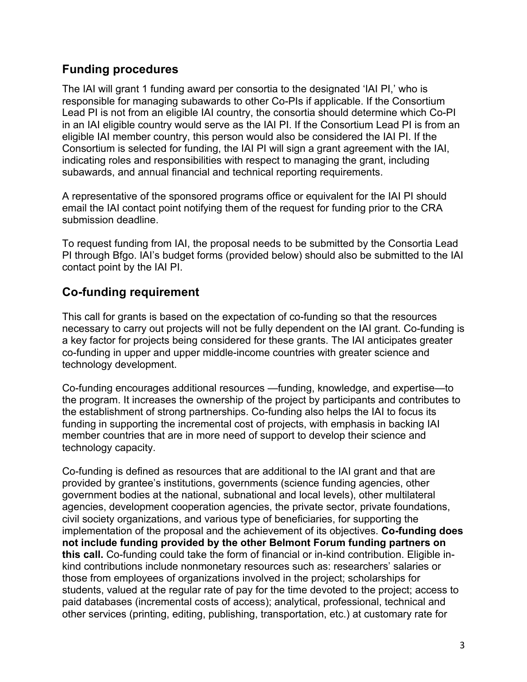## **Funding procedures**

The IAI will grant 1 funding award per consortia to the designated 'IAI PI,' who is responsible for managing subawards to other Co-PIs if applicable. If the Consortium Lead PI is not from an eligible IAI country, the consortia should determine which Co-PI in an IAI eligible country would serve as the IAI PI. If the Consortium Lead PI is from an eligible IAI member country, this person would also be considered the IAI PI. If the Consortium is selected for funding, the IAI PI will sign a grant agreement with the IAI, indicating roles and responsibilities with respect to managing the grant, including subawards, and annual financial and technical reporting requirements.

A representative of the sponsored programs office or equivalent for the IAI PI should email the IAI contact point notifying them of the request for funding prior to the CRA submission deadline.

To request funding from IAI, the proposal needs to be submitted by the Consortia Lead PI through Bfgo. IAI's budget forms (provided below) should also be submitted to the IAI contact point by the IAI PI.

### **Co-funding requirement**

This call for grants is based on the expectation of co-funding so that the resources necessary to carry out projects will not be fully dependent on the IAI grant. Co-funding is a key factor for projects being considered for these grants. The IAI anticipates greater co-funding in upper and upper middle-income countries with greater science and technology development.

Co-funding encourages additional resources —funding, knowledge, and expertise—to the program. It increases the ownership of the project by participants and contributes to the establishment of strong partnerships. Co-funding also helps the IAI to focus its funding in supporting the incremental cost of projects, with emphasis in backing IAI member countries that are in more need of support to develop their science and technology capacity.

Co-funding is defined as resources that are additional to the IAI grant and that are provided by grantee's institutions, governments (science funding agencies, other government bodies at the national, subnational and local levels), other multilateral agencies, development cooperation agencies, the private sector, private foundations, civil society organizations, and various type of beneficiaries, for supporting the implementation of the proposal and the achievement of its objectives. **Co-funding does not include funding provided by the other Belmont Forum funding partners on this call.** Co-funding could take the form of financial or in-kind contribution. Eligible inkind contributions include nonmonetary resources such as: researchers' salaries or those from employees of organizations involved in the project; scholarships for students, valued at the regular rate of pay for the time devoted to the project; access to paid databases (incremental costs of access); analytical, professional, technical and other services (printing, editing, publishing, transportation, etc.) at customary rate for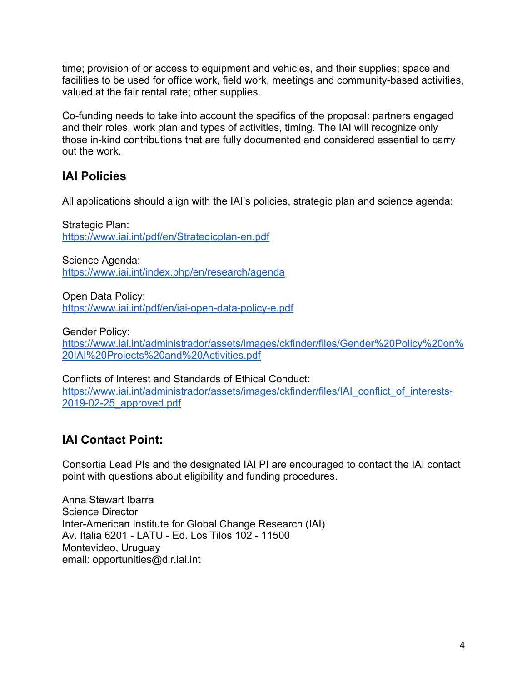time; provision of or access to equipment and vehicles, and their supplies; space and facilities to be used for office work, field work, meetings and community-based activities, valued at the fair rental rate; other supplies.

Co-funding needs to take into account the specifics of the proposal: partners engaged and their roles, work plan and types of activities, timing. The IAI will recognize only those in-kind contributions that are fully documented and considered essential to carry out the work.

# **IAI Policies**

All applications should align with the IAI's policies, strategic plan and science agenda:

Strategic Plan: https://www.iai.int/pdf/en/Strategicplan-en.pdf

Science Agenda: https://www.iai.int/index.php/en/research/agenda

Open Data Policy: https://www.iai.int/pdf/en/iai-open-data-policy-e.pdf

Gender Policy:

https://www.iai.int/administrador/assets/images/ckfinder/files/Gender%20Policy%20on% 20IAI%20Projects%20and%20Activities.pdf

Conflicts of Interest and Standards of Ethical Conduct: https://www.iai.int/administrador/assets/images/ckfinder/files/IAI\_conflict\_of\_interests-2019-02-25\_approved.pdf

# **IAI Contact Point:**

Consortia Lead PIs and the designated IAI PI are encouraged to contact the IAI contact point with questions about eligibility and funding procedures.

Anna Stewart Ibarra Science Director Inter-American Institute for Global Change Research (IAI) Av. Italia 6201 - LATU - Ed. Los Tilos 102 - 11500 Montevideo, Uruguay email: opportunities@dir.iai.int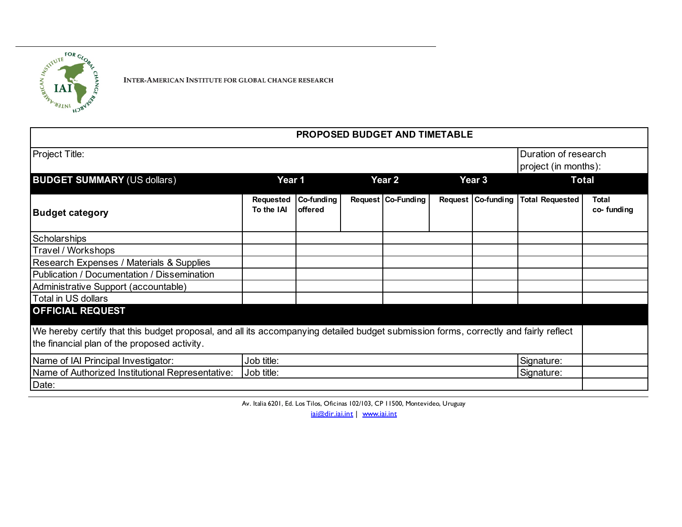

INTER-AMERICAN INSTITUTE FOR GLOBAL CHANGE RESEARCH

| <b>PROPOSED BUDGET AND TIMETABLE</b>                                                                                                 |                          |                       |  |                    |  |                    |                                              |                            |
|--------------------------------------------------------------------------------------------------------------------------------------|--------------------------|-----------------------|--|--------------------|--|--------------------|----------------------------------------------|----------------------------|
| <b>Project Title:</b>                                                                                                                |                          |                       |  |                    |  |                    | Duration of research<br>project (in months): |                            |
| <b>BUDGET SUMMARY (US dollars)</b>                                                                                                   | Year 1                   |                       |  | Year 2             |  | Year 3             | <b>Total</b>                                 |                            |
| <b>Budget category</b>                                                                                                               | Requested<br>To the IAI  | Co-funding<br>offered |  | Request Co-Funding |  | Request Co-funding | <b>Total Requested</b>                       | <b>Total</b><br>co-funding |
| <b>Scholarships</b>                                                                                                                  |                          |                       |  |                    |  |                    |                                              |                            |
| Travel / Workshops                                                                                                                   |                          |                       |  |                    |  |                    |                                              |                            |
| Research Expenses / Materials & Supplies                                                                                             |                          |                       |  |                    |  |                    |                                              |                            |
| Publication / Documentation / Dissemination                                                                                          |                          |                       |  |                    |  |                    |                                              |                            |
| Administrative Support (accountable)                                                                                                 |                          |                       |  |                    |  |                    |                                              |                            |
| Total in US dollars                                                                                                                  |                          |                       |  |                    |  |                    |                                              |                            |
| <b>OFFICIAL REQUEST</b>                                                                                                              |                          |                       |  |                    |  |                    |                                              |                            |
| We hereby certify that this budget proposal, and all its accompanying detailed budget submission forms, correctly and fairly reflect |                          |                       |  |                    |  |                    |                                              |                            |
| the financial plan of the proposed activity.                                                                                         |                          |                       |  |                    |  |                    |                                              |                            |
| Name of IAI Principal Investigator:                                                                                                  | Job title:<br>Signature: |                       |  |                    |  |                    |                                              |                            |
| Name of Authorized Institutional Representative:<br>Job title:<br>Signature:                                                         |                          |                       |  |                    |  |                    |                                              |                            |
| Date:                                                                                                                                |                          |                       |  |                    |  |                    |                                              |                            |

Av. Italia 6201, Ed. Los Tilos, Oficinas 102/103, CP 11500, Montevideo, Uruguay

iai@dir.iai.int | www.iai.int